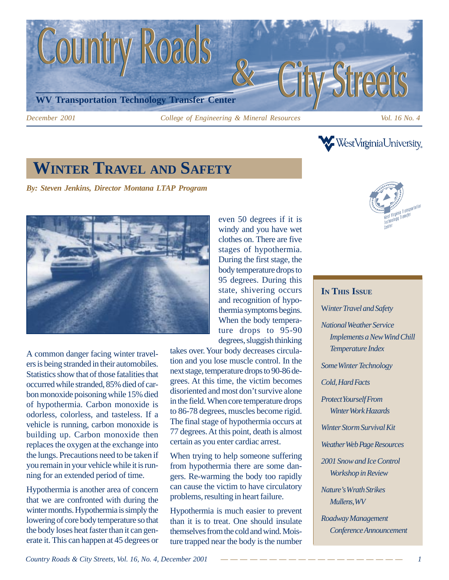

**WestVirginiaUniversity** 

# **WINTER TRAVEL AND SAFETY**

*By: Steven Jenkins, Director Montana LTAP Program*



A common danger facing winter travelers is being stranded in their automobiles. Statistics show that of those fatalities that occurred while stranded, 85% died of carbon monoxide poisoning while 15% died of hypothermia. Carbon monoxide is odorless, colorless, and tasteless. If a vehicle is running, carbon monoxide is building up. Carbon monoxide then replaces the oxygen at the exchange into the lungs. Precautions need to be taken if you remain in your vehicle while it is running for an extended period of time.

Hypothermia is another area of concern that we are confronted with during the winter months. Hypothermia is simply the lowering of core body temperature so that the body loses heat faster than it can generate it. This can happen at 45 degrees or windy and you have wet clothes on. There are five stages of hypothermia. During the first stage, the body temperature drops to 95 degrees. During this state, shivering occurs and recognition of hypothermia symptoms begins. When the body temperature drops to 95-90 degrees, sluggish thinking

even 50 degrees if it is

takes over. Your body decreases circulation and you lose muscle control. In the next stage, temperature drops to 90-86 degrees. At this time, the victim becomes disoriented and most don't survive alone in the field. When core temperature drops to 86-78 degrees, muscles become rigid. The final stage of hypothermia occurs at 77 degrees. At this point, death is almost certain as you enter cardiac arrest.

When trying to help someone suffering from hypothermia there are some dangers. Re-warming the body too rapidly can cause the victim to have circulatory problems, resulting in heart failure.

Hypothermia is much easier to prevent than it is to treat. One should insulate themselves from the cold and wind. Moisture trapped near the body is the number



# **IN THIS ISSUE** W*inter Travel and Safety National Weather Service Implements a New Wind Chill Temperature Index Some Winter Technology Cold, Hard Facts Protect Yourself From Winter Work Hazards Winter Storm Survival Kit Weather Web Page Resources 2001 Snow and Ice Control Workshop in Review Nature's Wrath Strikes Mullens, WV Roadway Management Conference Announcement*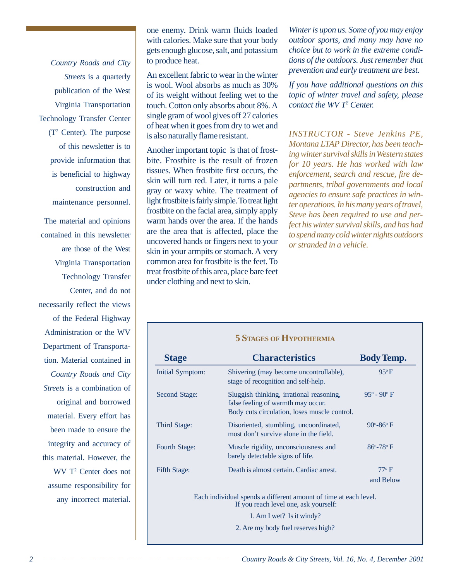*Country Roads and City Streets* is a quarterly publication of the West Virginia Transportation Technology Transfer Center (T2 Center). The purpose of this newsletter is to provide information that is beneficial to highway construction and maintenance personnel.

The material and opinions contained in this newsletter are those of the West Virginia Transportation Technology Transfer Center, and do not necessarily reflect the views of the Federal Highway Administration or the WV Department of Transportation. Material contained in *Country Roads and City Streets* is a combination of original and borrowed material. Every effort has been made to ensure the integrity and accuracy of this material. However, the WV T2 Center does not assume responsibility for any incorrect material.

one enemy. Drink warm fluids loaded with calories. Make sure that your body gets enough glucose, salt, and potassium to produce heat.

An excellent fabric to wear in the winter is wool. Wool absorbs as much as 30% of its weight without feeling wet to the touch. Cotton only absorbs about 8%. A single gram of wool gives off 27 calories of heat when it goes from dry to wet and is also naturally flame resistant.

Another important topic is that of frostbite. Frostbite is the result of frozen tissues. When frostbite first occurs, the skin will turn red. Later, it turns a pale gray or waxy white. The treatment of light frostbite is fairly simple. To treat light frostbite on the facial area, simply apply warm hands over the area. If the hands are the area that is affected, place the uncovered hands or fingers next to your skin in your armpits or stomach. A very common area for frostbite is the feet. To treat frostbite of this area, place bare feet under clothing and next to skin.

*Winter is upon us. Some of you may enjoy outdoor sports, and many may have no choice but to work in the extreme conditions of the outdoors. Just remember that prevention and early treatment are best.*

*If you have additional questions on this topic of winter travel and safety, please contact the WV T2 Center.*

*INSTRUCTOR - Steve Jenkins PE, Montana LTAP Director, has been teaching winter survival skills in Western states for 10 years. He has worked with law enforcement, search and rescue, fire departments, tribal governments and local agencies to ensure safe practices in winter operations. In his many years of travel, Steve has been required to use and perfect his winter survival skills, and has had to spend many cold winter nights outdoors or stranded in a vehicle.*

#### **5 STAGES OF HYPOTHERMIA**

| <b>Stage</b>         | <b>Characteristics</b>                                                                                                         | <b>Body Temp.</b>           |
|----------------------|--------------------------------------------------------------------------------------------------------------------------------|-----------------------------|
| Initial Symptom:     | Shivering (may become uncontrollable),<br>stage of recognition and self-help.                                                  | $95^{\circ}F$               |
| Second Stage:        | Sluggish thinking, irrational reasoning,<br>false feeling of warmth may occur.<br>Body cuts circulation, loses muscle control. | $95^{\circ} - 90^{\circ}$ F |
| Third Stage:         | Disoriented, stumbling, uncoordinated,<br>most don't survive alone in the field.                                               | $90^{\circ} - 86^{\circ}$ F |
| <b>Fourth Stage:</b> | Muscle rigidity, unconsciousness and<br>barely detectable signs of life.                                                       | $86^{\circ} - 78^{\circ}$ F |
| Fifth Stage:         | Death is almost certain. Cardiac arrest.                                                                                       | $77^{\circ}$ F              |
|                      |                                                                                                                                | and Below                   |
|                      | Each individual spends a different amount of time at each level.<br>If you reach level one, ask yourself:                      |                             |

1. Am I wet? Is it windy?

2. Are my body fuel reserves high?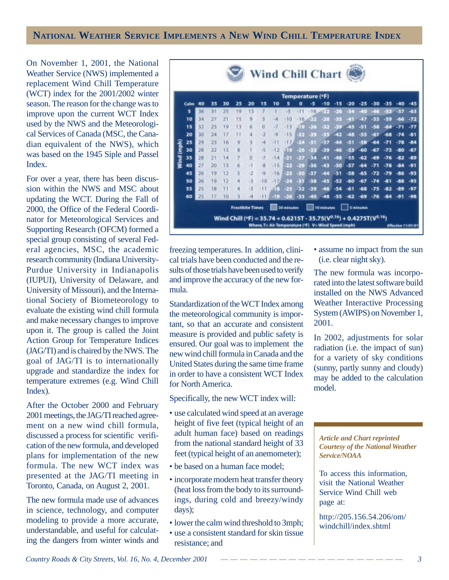# **NATIONAL WEATHER SERVICE IMPLEMENTS A NEW WIND CHILL TEMPERATURE INDEX**

On November 1, 2001, the National Weather Service (NWS) implemented a replacement Wind Chill Temperature (WCT) index for the 2001/2002 winter season. The reason for the change was to improve upon the current WCT Index used by the NWS and the Meteorological Services of Canada (MSC, the Canadian equivalent of the NWS), which was based on the 1945 Siple and Passel Index.

For over a year, there has been discussion within the NWS and MSC about updating the WCT. During the Fall of 2000, the Office of the Federal Coordinator for Meteorological Services and Supporting Research (OFCM) formed a special group consisting of several Federal agencies, MSC, the academic research community (Indiana University-Purdue University in Indianapolis (IUPUI), University of Delaware, and University of Missouri), and the International Society of Biometeorology to evaluate the existing wind chill formula and make necessary changes to improve upon it. The group is called the Joint Action Group for Temperature Indices (JAG/TI) and is chaired by the NWS. The goal of JAG/TI is to internationally upgrade and standardize the index for temperature extremes (e.g. Wind Chill Index).

After the October 2000 and February 2001 meetings, the JAG/TI reached agreement on a new wind chill formula, discussed a process for scientific verification of the new formula, and developed plans for implementation of the new formula. The new WCT index was presented at the JAG/TI meeting in Toronto, Canada, on August 2, 2001.

The new formula made use of advances in science, technology, and computer modeling to provide a more accurate, understandable, and useful for calculating the dangers from winter winds and



freezing temperatures. In addition, clinical trials have been conducted and the results of those trials have been used to verify and improve the accuracy of the new formula.

Standardization of the WCT Index among the meteorological community is important, so that an accurate and consistent measure is provided and public safety is ensured. Our goal was to implement the new wind chill formula in Canada and the United States during the same time frame in order to have a consistent WCT Index for North America.

Specifically, the new WCT index will:

- use calculated wind speed at an average height of five feet (typical height of an adult human face) based on readings from the national standard height of 33 feet (typical height of an anemometer);
- be based on a human face model;
- incorporate modern heat transfer theory (heat loss from the body to its surroundings, during cold and breezy/windy days);
- lower the calm wind threshold to 3mph;
- use a consistent standard for skin tissue resistance; and

• assume no impact from the sun (i.e. clear night sky).

The new formula was incorporated into the latest software build installed on the NWS Advanced Weather Interactive Processing System (AWIPS) on November 1, 2001.

In 2002, adjustments for solar radiation (i.e. the impact of sun) for a variety of sky conditions (sunny, partly sunny and cloudy) may be added to the calculation model.

*Article and Chart reprinted Courtesy of the National Weather Service/NOAA*

To access this information, visit the National Weather Service Wind Chill web page at:

http://205.156.54.206/om/ windchill/index.shtml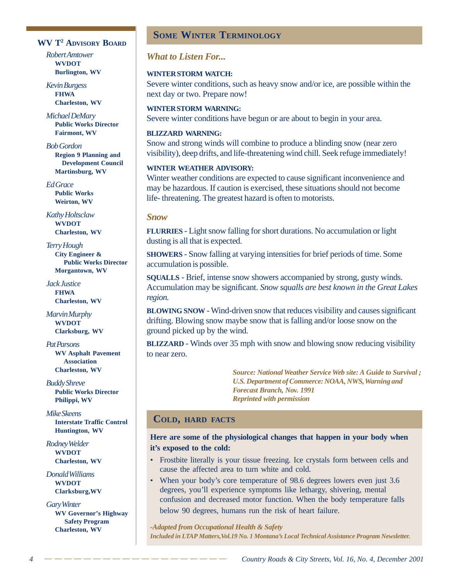#### **WV T2 ADVISORY BOARD**

*Robert Amtower* **WVDOT Burlington, WV**

*Kevin Burgess* **FHWA Charleston, WV**

*Michael DeMary* **Public Works Director Fairmont, WV**

*Bob Gordon* **Region 9 Planning and Development Council Martinsburg, WV**

*Ed Grace* **Public Works Weirton, WV**

*Kathy Holtsclaw* **WVDOT Charleston, WV**

*Terry Hough* **City Engineer & Public Works Director Morgantown, WV**

*Jack Justice* **FHWA Charleston, WV**

*Marvin Murphy* **WVDOT Clarksburg, WV**

*Pat Parsons* **WV Asphalt Pavement Association Charleston, WV**

*Buddy Shreve* **Public Works Director Philippi, WV**

*Mike Skeens* **Interstate Traffic Control Huntington, WV**

*Rodney Welder* **WVDOT Charleston, WV**

*Donald Williams* **WVDOT Clarksburg,WV**

*Gary Winter* **WV Governor's Highway Safety Program Charleston, WV**

# **SOME WINTER TERMINOLOGY**

*What to Listen For...*

#### **WINTER STORM WATCH:**

Severe winter conditions, such as heavy snow and/or ice, are possible within the next day or two. Prepare now!

**WINTER STORM WARNING:** Severe winter conditions have begun or are about to begin in your area.

#### **BLIZZARD WARNING:**

Snow and strong winds will combine to produce a blinding snow (near zero visibility), deep drifts, and life-threatening wind chill. Seek refuge immediately!

#### **WINTER WEATHER ADVISORY:**

Winter weather conditions are expected to cause significant inconvenience and may be hazardous. If caution is exercised, these situations should not become life- threatening. The greatest hazard is often to motorists.

#### *Snow*

**FLURRIES** - Light snow falling for short durations. No accumulation or light dusting is all that is expected.

**SHOWERS** - Snow falling at varying intensities for brief periods of time. Some accumulation is possible.

**SQUALLS** - Brief, intense snow showers accompanied by strong, gusty winds. Accumulation may be significant. *Snow squalls are best known in the Great Lakes region.*

**BLOWING SNOW** - Wind-driven snow that reduces visibility and causes significant drifting. Blowing snow maybe snow that is falling and/or loose snow on the ground picked up by the wind.

**BLIZZARD** - Winds over 35 mph with snow and blowing snow reducing visibility to near zero.

> *Source: National Weather Service Web site: A Guide to Survival ; U.S. Department of Commerce: NOAA, NWS, Warning and Forecast Branch, Nov. 1991 Reprinted with permission*

# **COLD, HARD FACTS**

## **Here are some of the physiological changes that happen in your body when it's exposed to the cold:**

- Frostbite literally is your tissue freezing. Ice crystals form between cells and cause the affected area to turn white and cold.
- When your body's core temperature of 98.6 degrees lowers even just 3.6 degrees, you'll experience symptoms like lethargy, shivering, mental confusion and decreased motor function. When the body temperature falls below 90 degrees, humans run the risk of heart failure.

*-Adapted from Occupational Health & Safety Included in LTAP Matters,Vol.19 No. 1 Montana's Local Technical Assistance Program Newsletter.*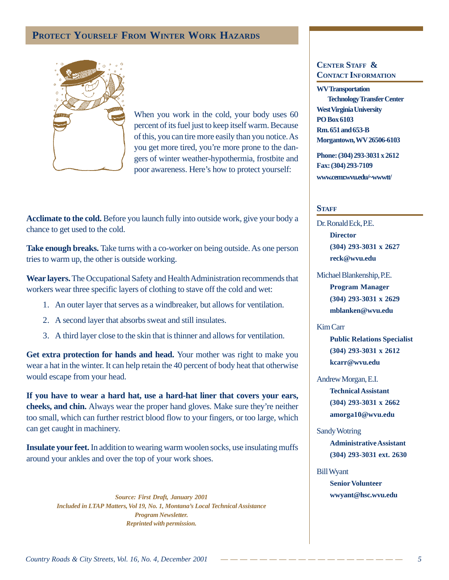# **PROTECT YOURSELF FROM WINTER WORK HAZARDS**



When you work in the cold, your body uses 60 percent of its fuel just to keep itself warm. Because of this, you can tire more easily than you notice. As you get more tired, you're more prone to the dangers of winter weather-hypothermia, frostbite and poor awareness. Here's how to protect yourself:

**Acclimate to the cold.** Before you launch fully into outside work, give your body a chance to get used to the cold.

Take enough breaks. Take turns with a co-worker on being outside. As one person tries to warm up, the other is outside working.

**Wear layers.** The Occupational Safety and Health Administration recommends that workers wear three specific layers of clothing to stave off the cold and wet:

- 1. An outer layer that serves as a windbreaker, but allows for ventilation.
- 2. A second layer that absorbs sweat and still insulates.
- 3. A third layer close to the skin that is thinner and allows for ventilation.

**Get extra protection for hands and head.** Your mother was right to make you wear a hat in the winter. It can help retain the 40 percent of body heat that otherwise would escape from your head.

**If you have to wear a hard hat, use a hard-hat liner that covers your ears, cheeks, and chin.** Always wear the proper hand gloves. Make sure they're neither too small, which can further restrict blood flow to your fingers, or too large, which can get caught in machinery.

**Insulate your feet.** In addition to wearing warm woolen socks, use insulating muffs around your ankles and over the top of your work shoes.

> *Source: First Draft, January 2001 Included in LTAP Matters, Vol 19, No. 1, Montana's Local Technical Assistance Program Newsletter. Reprinted with permission.*

## **CENTER STAFF & CONTACT INFORMATION**

**WV Transportation Technology Transfer Center West Virginia University PO Box 6103 Rm. 651 and 653-B Morgantown, WV 26506-6103**

**Phone: (304) 293-3031 x 2612 Fax: (304) 293-7109 www.cemr.wvu.edu/~wwwtt/**

#### **STAFF**

Dr. Ronald Eck, P.E. **Director (304) 293-3031 x 2627 reck@wvu.edu**

Michael Blankenship, P.E. **Program Manager (304) 293-3031 x 2629 mblanken@wvu.edu**

#### Kim Carr

**Public Relations Specialist (304) 293-3031 x 2612 kcarr@wvu.edu**

Andrew Morgan, E.I. **Technical Assistant (304) 293-3031 x 2662 amorga10@wvu.edu**

Sandy Wotring **Administrative Assistant (304) 293-3031 ext. 2630**

Bill Wyant **Senior Volunteer wwyant@hsc.wvu.edu**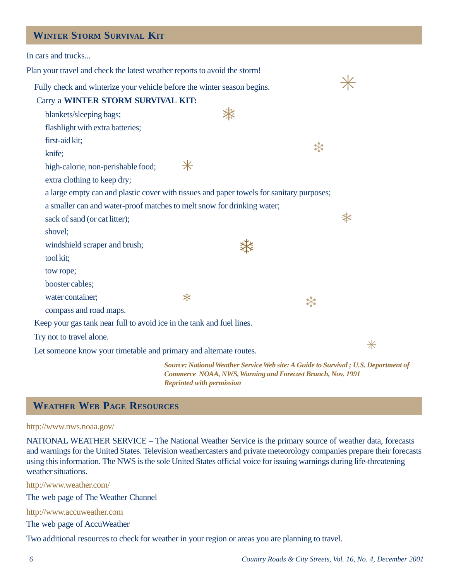# **WINTER STORM SURVIVAL KIT**

| In cars and trucks                                                                       |                                                            |  |        |                                                                                    |
|------------------------------------------------------------------------------------------|------------------------------------------------------------|--|--------|------------------------------------------------------------------------------------|
| Plan your travel and check the latest weather reports to avoid the storm!                |                                                            |  |        |                                                                                    |
| Fully check and winterize your vehicle before the winter season begins.                  |                                                            |  |        |                                                                                    |
| Carry a WINTER STORM SURVIVAL KIT:                                                       |                                                            |  |        |                                                                                    |
| blankets/sleeping bags;                                                                  |                                                            |  |        |                                                                                    |
| flashlight with extra batteries;                                                         |                                                            |  |        |                                                                                    |
| first-aid kit;                                                                           |                                                            |  |        |                                                                                    |
| knife;                                                                                   |                                                            |  | $\ast$ |                                                                                    |
| high-calorie, non-perishable food;                                                       | $\ast$                                                     |  |        |                                                                                    |
| extra clothing to keep dry;                                                              |                                                            |  |        |                                                                                    |
| a large empty can and plastic cover with tissues and paper towels for sanitary purposes; |                                                            |  |        |                                                                                    |
| a smaller can and water-proof matches to melt snow for drinking water;                   |                                                            |  |        |                                                                                    |
| sack of sand (or cat litter);                                                            |                                                            |  |        | ☀                                                                                  |
| shovel;                                                                                  |                                                            |  |        |                                                                                    |
| windshield scraper and brush;                                                            |                                                            |  |        |                                                                                    |
| tool kit;                                                                                |                                                            |  |        |                                                                                    |
| tow rope;                                                                                |                                                            |  |        |                                                                                    |
| booster cables;                                                                          |                                                            |  |        |                                                                                    |
| water container;                                                                         | ₩                                                          |  | $\ast$ |                                                                                    |
| compass and road maps.                                                                   |                                                            |  |        |                                                                                    |
| Keep your gas tank near full to avoid ice in the tank and fuel lines.                    |                                                            |  |        |                                                                                    |
| Try not to travel alone.                                                                 |                                                            |  |        | $\ast$                                                                             |
| Let someone know your timetable and primary and alternate routes.                        |                                                            |  |        |                                                                                    |
|                                                                                          | Commerce NOAA, NWS, Warning and Forecast Branch, Nov. 1991 |  |        | Source: National Weather Service Web site: A Guide to Survival; U.S. Department of |

# **WEATHER WEB PAGE RESOURCES**

#### http://www.nws.noaa.gov/

NATIONAL WEATHER SERVICE – The National Weather Service is the primary source of weather data, forecasts and warnings for the United States. Television weathercasters and private meteorology companies prepare their forecasts using this information. The NWS is the sole United States official voice for issuing warnings during life-threatening weather situations.

*Reprinted with permission*

http://www.weather.com/

The web page of The Weather Channel

http://www.accuweather.com

The web page of AccuWeather

Two additional resources to check for weather in your region or areas you are planning to travel.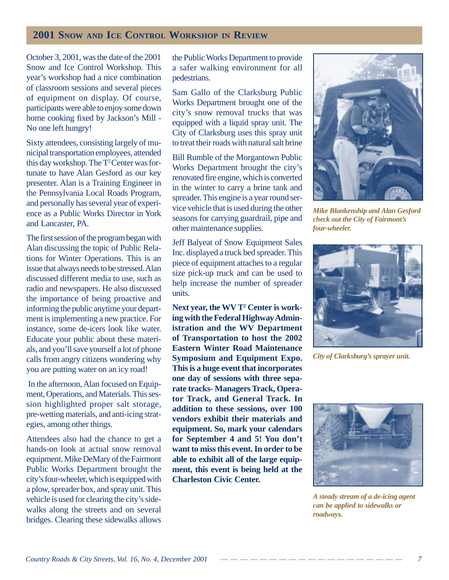# **2001 SNOW AND ICE CONTROL WORKSHOP IN REVIEW**

October 3, 2001, was the date of the 2001 Snow and Ice Control Workshop. This year's workshop had a nice combination of classroom sessions and several pieces of equipment on display. Of course, participants were able to enjoy some down home cooking fixed by Jackson's Mill - No one left hungry!

Sixty attendees, consisting largely of municipal transportation employees, attended this day workshop. The T<sup>2</sup> Center was fortunate to have Alan Gesford as our key presenter. Alan is a Training Engineer in the Pennsylvania Local Roads Program, and personally has several year of experience as a Public Works Director in York and Lancaster, PA.

The first session of the program began with Alan discussing the topic of Public Relations for Winter Operations. This is an issue that always needs to be stressed. Alan discussed different media to use, such as radio and newspapers. He also discussed the importance of being proactive and informing the public anytime your department is implementing a new practice. For instance, some de-icers look like water. Educate your public about these materials, and you'll save yourself a lot of phone calls from angry citizens wondering why you are putting water on an icy road!

 In the afternoon, Alan focused on Equipment, Operations, and Materials. This session highlighted proper salt storage, pre-wetting materials, and anti-icing strategies, among other things.

Attendees also had the chance to get a hands-on look at actual snow removal equipment. Mike DeMary of the Fairmont Public Works Department brought the city's four-wheeler, which is equipped with a plow, spreader box, and spray unit. This vehicle is used for clearing the city's sidewalks along the streets and on several bridges. Clearing these sidewalks allows

the Public Works Department to provide a safer walking environment for all pedestrians.

Sam Gallo of the Clarksburg Public Works Department brought one of the city's snow removal trucks that was equipped with a liquid spray unit. The City of Clarksburg uses this spray unit to treat their roads with natural salt brine

Bill Rumble of the Morgantown Public Works Department brought the city's renovated fire engine, which is converted in the winter to carry a brine tank and spreader. This engine is a year round service vehicle that is used during the other seasons for carrying guardrail, pipe and other maintenance supplies.

Jeff Balyeat of Snow Equipment Sales Inc. displayed a truck bed spreader. This piece of equipment attaches to a regular size pick-up truck and can be used to help increase the number of spreader units.

Next year, the WV T<sup>2</sup> Center is work**ing with the Federal Highway Administration and the WV Department of Transportation to host the 2002 Eastern Winter Road Maintenance Symposium and Equipment Expo. This is a huge event that incorporates one day of sessions with three separate tracks- Managers Track, Operator Track, and General Track. In addition to these sessions, over 100 vendors exhibit their materials and equipment. So, mark your calendars for September 4 and 5! You don't want to miss this event. In order to be able to exhibit all of the large equipment, this event is being held at the Charleston Civic Center.**



*Mike Blankenship and Alan Gesford check out the City of Fairmont's four-wheeler.*



*City of Clarksburg's sprayer unit.*



*A steady stream of a de-icing agent can be applied to sidewalks or roadways.*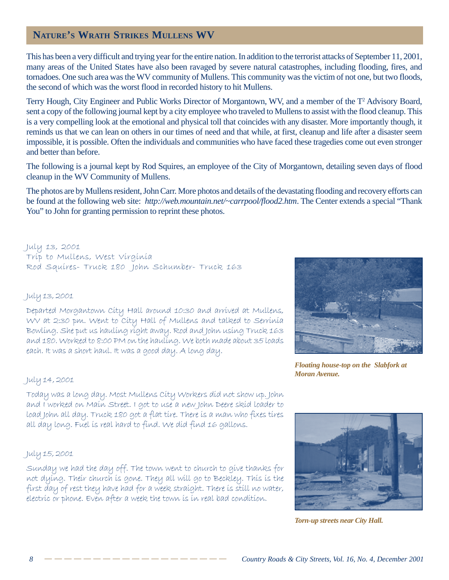# **NATURE'S WRATH STRIKES MULLENS WV**

This has been a very difficult and trying year for the entire nation. In addition to the terrorist attacks of September 11, 2001, many areas of the United States have also been ravaged by severe natural catastrophes, including flooding, fires, and tornadoes. One such area was the WV community of Mullens. This community was the victim of not one, but two floods, the second of which was the worst flood in recorded history to hit Mullens.

Terry Hough, City Engineer and Public Works Director of Morgantown, WV, and a member of the T<sup>2</sup> Advisory Board, sent a copy of the following journal kept by a city employee who traveled to Mullens to assist with the flood cleanup. This is a very compelling look at the emotional and physical toll that coincides with any disaster. More importantly though, it reminds us that we can lean on others in our times of need and that while, at first, cleanup and life after a disaster seem impossible, it is possible. Often the individuals and communities who have faced these tragedies come out even stronger and better than before.

The following is a journal kept by Rod Squires, an employee of the City of Morgantown, detailing seven days of flood cleanup in the WV Community of Mullens.

The photos are by Mullens resident, John Carr. More photos and details of the devastating flooding and recovery efforts can be found at the following web site: *http://web.mountain.net/~carrpool/flood2.htm*. The Center extends a special "Thank You" to John for granting permission to reprint these photos.

July 13, 2001 Tríp to Mullens, West Vírgínía Rod Squíres- Truck 180 John Schumber- Truck 163

# July 13, 2001

Departed Morgantown City Hall around 10:30 and arrived at Mullens, WV at 2:30 pm. Went to Cíty Hall of Mullens and talked to Serrínía Bowlíng. She put us haulíng ríght away. Rod and John usíng Truck 163 and 180. Worked to 8:00 PM on the haulíng. We both made about 35 loads each. It was a short haul. It was a good day. A long day.



*Floating house-top on the Slabfork at Moran Avenue.*

# 1uly 14, 2001

Today was a long day. Most Mullens Cíty Workers díd not show up. John and I worked on Maín Street. I got to use a new John Deere skíd loader to load John all day. Truck 180 got a flat tíre. There ís a man who fíxes tíres all day long. Fuel ís real hard to fínd. We díd fínd 16 gallons.

# 1uly 15, 2001

Sunday we had the day off. The town went to church to give thanks for not dyíng. Theír church ís gone. They all wíll go to Beckley. Thís ís the first day of rest they have had for a week straight. There is still no water, electric or phone. Even after a week the town is in real bad condition.



*Torn-up streets near City Hall.*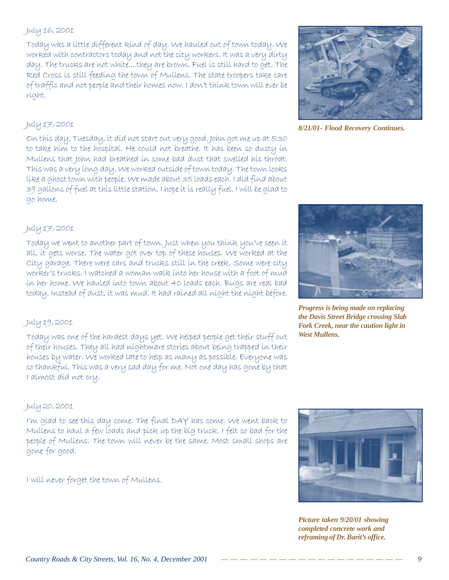# 1uly 16, 2001

Today was a líttle dífferent kínd of day. We hauled out of town today. We worked with contractors today and not the city workers. It was a very dirty day. The trucks are not white....they are brown. Fuel is still hard to get. The Red Cross is still feeding the town of Mullens. The state troopers take care of traffic and not people and their homes now. I don't think town will ever be ríght.

# July 17, 2001

On thís day, Tuesday, ít díd not start out very good. John got me up at 5:30 to take hím to the hospítal. He could not breathe. It has been so dusty ín Mullens that John had breathed ín some bad dust that swelled hís throat. Thís was a very long day. We worked outsíde of town today. The town looks líke a ghost town wíth people. We made about 35 loads each. I díd fínd about 39 gallons of fuel at thís líttle statíon. I hope ít ís really fuel. I wíll be glad to go home.



*8/21/01- Flood Recovery Continues.*

# July 17, 2001

Today we went to another part of town. Just when you think you've seen it all, it gets worse. The water got over top of these houses. We worked at the Cíty garage. There were cars and trucks stíll ín the creek. Some were cíty worker's trucks. I watched a woman walk ínto her house wíth a foot of mud ín her home. We hauled ínto town about 40 loads each. Bugs are real bad today. Instead of dust, ít was mud. It had raíned all níght the níght before.

#### *Progress is being made on replacing the Davis Street Bridge crossing Slab Fork Creek, near the caution light in West Mullens.*

# 1uly 19, 2001

Today was one of the hardest days yet. We helped people get their stuff out of theír houses. They all had níghtmare storíes about beíng trapped ín theír houses by water. We worked late to help as many as possíble. Everyone was so thankful. Thís was a very sad day for me. Not one day has gone by that I almost díd not cry.

# 1uly 20, 2001

I'm glad to see this day come. The final DAY has come. We went back to Mullens to haul a few loads and píck up the bíg truck. I felt so bad for the people of Mullens. The town will never be the same. Most small shops are gone for good.

1 will never forget the town of Mullens.



*Picture taken 9/20/01 showing completed concrete work and reframing of Dr. Barit's office.*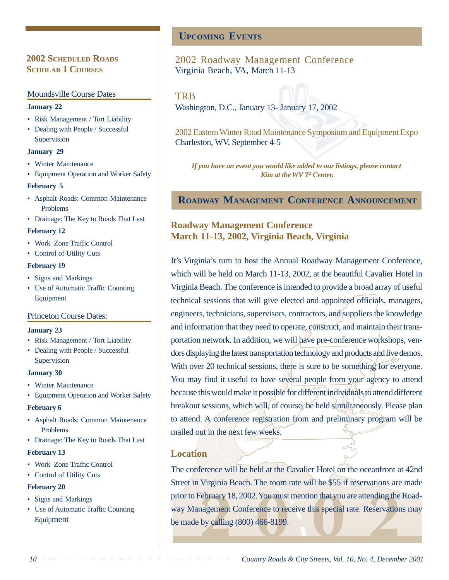# **2002 SCHEDULED ROADS SCHOLAR 1 COURSES**

#### Moundsville Course Dates

#### **January 22**

- Risk Management / Tort Liability
- Dealing with People / Successful Supervision

#### **January 29**

- Winter Maintenance
- Equipment Operation and Worker Safety

#### **February 5**

- Asphalt Roads: Common Maintenance Problems
- Drainage: The Key to Roads That Last

#### **February 12**

- Work Zone Traffic Control
- Control of Utility Cuts

#### **February 19**

- Signs and Markings
- Use of Automatic Traffic Counting Equipment

#### Princeton Course Dates:

#### **January 23**

- Risk Management / Tort Liability
- Dealing with People / Successful Supervision

#### **January 30**

- Winter Maintenance
- Equipment Operation and Worker Safety

#### **February 6**

- Asphalt Roads: Common Maintenance Problems
- Drainage: The Key to Roads That Last

#### **February 13**

- Work Zone Traffic Control
- Control of Utility Cuts

#### **February 20**

- Signs and Markings
- Use of Automatic Traffic Counting Equipment

# **UPCOMING EVENTS**

# 2002 Roadway Management Conference Virginia Beach, VA, March 11-13

# **TRB**

Washington, D.C., January 13- January 17, 2002

2002 Eastern Winter Road Maintenance Symposium and Equipment Expo Charleston, WV, September 4-5

*If you have an event you would like added to our listings, please contact Kim at the WV T2 Center.*

# **ROADWAY MANAGEMENT CONFERENCE ANNOUNCEMENT**

# **Roadway Management Conference March 11-13, 2002, Virginia Beach, Virginia**

It's Virginia's turn to host the Annual Roadway Management Conference, which will be held on March 11-13, 2002, at the beautiful Cavalier Hotel in Virginia Beach. The conference is intended to provide a broad array of useful technical sessions that will give elected and appointed officials, managers, engineers, technicians, supervisors, contractors, and suppliers the knowledge and information that they need to operate, construct, and maintain their transportation network. In addition, we will have pre-conference workshops, vendors displaying the latest transportation technology and products and live demos. With over 20 technical sessions, there is sure to be something for everyone. You may find it useful to have several people from your agency to attend because this would make it possible for different individuals to attend different breakout sessions, which will, of course, be held simultaneously. Please plan to attend. A conference registration from and preliminary program will be mailed out in the next few weeks.

# **Location**

The conference will be held at the Cavalier Hotel on the oceanfront at 42nd Street in Virginia Beach. The room rate will be \$55 if reservations are made prior to February 18, 2002. You must mention that you are attending the Roadway Management Conference to receive this special rate. Reservations may be made by calling (800) 466-8199.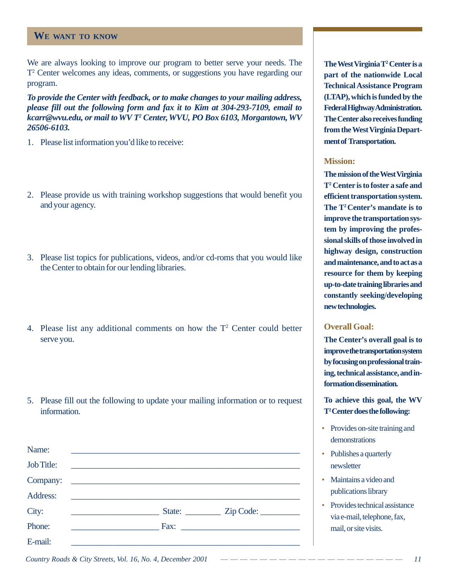# **WE WANT TO KNOW**

We are always looking to improve our program to better serve your needs. The T2 Center welcomes any ideas, comments, or suggestions you have regarding our program.

*To provide the Center with feedback, or to make changes to your mailing address, please fill out the following form and fax it to Kim at 304-293-7109, email to kcarr@wvu.edu, or mail to WV T2 Center, WVU, PO Box 6103, Morgantown, WV 26506-6103.*

- 1. Please list information you'd like to receive:
- 2. Please provide us with training workshop suggestions that would benefit you and your agency.
- 3. Please list topics for publications, videos, and/or cd-roms that you would like the Center to obtain for our lending libraries.
- 4. Please list any additional comments on how the  $T<sup>2</sup>$  Center could better serve you.
- 5. Please fill out the following to update your mailing information or to request information.

| Name:      |                                               |                                            |
|------------|-----------------------------------------------|--------------------------------------------|
| Job Title: | <u> 1980 - Andrea Andrew Maria (h. 1980).</u> |                                            |
|            | Company:                                      |                                            |
| Address:   |                                               |                                            |
| City:      | <u> 1980 - Johann Barbara, martin d</u>       | State: _____________ Zip Code: ___________ |
| Phone:     |                                               |                                            |
| E-mail:    |                                               |                                            |

**The West Virginia T2 Center is a part of the nationwide Local Technical Assistance Program (LTAP), which is funded by the Federal Highway Administration. The Center also receives funding from the West Virginia Department of Transportation.**

#### **Mission:**

**The mission of the West Virginia T2 Center is to foster a safe and efficient transportation system. The T2 Center's mandate is to improve the transportation system by improving the professional skills of those involved in highway design, construction and maintenance, and to act as a resource for them by keeping up-to-date training libraries and constantly seeking/developing new technologies.**

## **Overall Goal:**

**The Center's overall goal is to improve the transportation system by focusing on professional training, technical assistance, and information dissemination.**

**To achieve this goal, the WV T2 Center does the following:**

- Provides on-site training and demonstrations
- Publishes a quarterly newsletter
- Maintains a video and publications library
- Provides technical assistance via e-mail, telephone, fax, mail, or site visits.

*Country Roads & City Streets, Vol. 16, No. 4, December 2001*  $------------------------------------111$